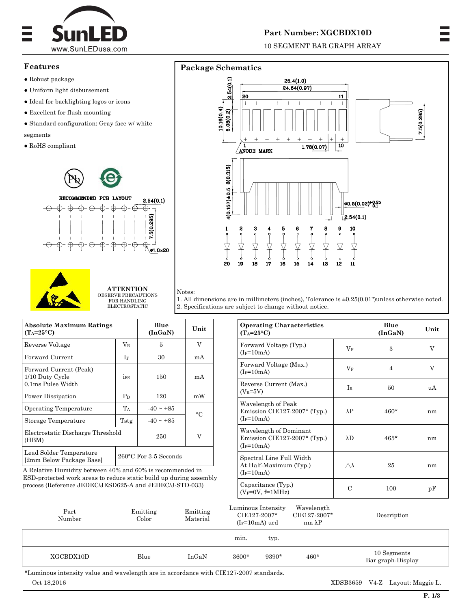

# **Part Number: XGCBDX10D**

10 SEGMENT BAR GRAPH ARRAY

## **Features**

- Robust package
- Uniform light disbursement
- Ideal for backlighting logos or icons
- Excellent for flush mounting
- Standard configuration: Gray face w/ white segments
- RoHS compliant





**ATTENTION** OBSERVE PRECAUTIONS FOR HANDLING ELECTROSTATIC

| <b>Absolute Maximum Ratings</b><br>$(T_A=25\textdegree C)$     |                                 | Blue<br>(InGAN)      | Unit |  |
|----------------------------------------------------------------|---------------------------------|----------------------|------|--|
| Reverse Voltage                                                | $\rm V_R$                       | 5                    | V    |  |
| Forward Current                                                | If                              | 30                   | mA   |  |
| Forward Current (Peak)<br>1/10 Duty Cycle<br>0.1ms Pulse Width | <i>iFS</i>                      | 150                  | mA   |  |
| Power Dissipation                                              | $P_D$                           | 120                  | mW   |  |
| Operating Temperature                                          | $T_A$                           | $-40 \sim +85$<br>°C |      |  |
| Storage Temperature                                            | Tstg                            | $-40 \sim +85$       |      |  |
| Electrostatic Discharge Threshold<br>(HBM)                     |                                 | 250                  | v    |  |
| Lead Solder Temperature<br>[2mm Below Package Base]            | $260^{\circ}$ C For 3-5 Seconds |                      |      |  |

A Relative Humidity between 40% and 60% is recommended in ESD-protected work areas to reduce static build up during assembly process (Reference JEDEC/JESD625-A and JEDEC/J-STD-033)



Notes: 1. All dimensions are in millimeters (inches), Tolerance is  $\pm 0.25(0.01")$  unless otherwise noted. 2. Specifications are subject to change without notice.

| <b>Operating Characteristics</b><br>$(T_A=25^{\circ}C)$                |                 | Blue<br>(InGAN) | Unit |
|------------------------------------------------------------------------|-----------------|-----------------|------|
| Forward Voltage (Typ.)<br>$(I_F=10mA)$                                 | $\rm V_F$       | 3               | V    |
| Forward Voltage (Max.)<br>$(I_F=10mA)$                                 | $V_{\rm F}$     | $\overline{4}$  | V    |
| Reverse Current (Max.)<br>$(V_R = 5V)$                                 | I <sub>R</sub>  | 50              | uА   |
| Wavelength of Peak<br>Emission CIE127-2007* (Typ.)<br>$(I_F=10mA)$     | $\lambda$ P     | $460*$          | nm   |
| Wavelength of Dominant<br>Emission CIE127-2007* (Typ.)<br>$(I_F=10mA)$ | $\lambda$ D     | $465*$          | nm   |
| Spectral Line Full Width<br>At Half-Maximum (Typ.)<br>$(I_F=10mA)$     | $\wedge\lambda$ | 25              | nm   |
| Capacitance (Typ.)<br>$(V_F=0V, f=1MHz)$                               | C               |                 |      |

| Part<br>Number | Emitting<br>Color | Emitting<br>Material | Luminous Intensity<br>$CIE127-2007*$<br>$(I_F=10mA)$ ucd | Wavelength<br>CIE127-2007*<br>$nm\ \lambda P$ | Description                      |
|----------------|-------------------|----------------------|----------------------------------------------------------|-----------------------------------------------|----------------------------------|
|                |                   |                      | mın.<br>typ.                                             |                                               |                                  |
| XGCBDX10D      | Blue              | InGaN                | $3600*$<br>$9390*$                                       | $460*$                                        | 10 Segments<br>Bar graph-Display |

Oct 18,2016 XDSB3659 V4-Z Layout: Maggie L. \*Luminous intensity value and wavelength are in accordance with CIE127-2007 standards.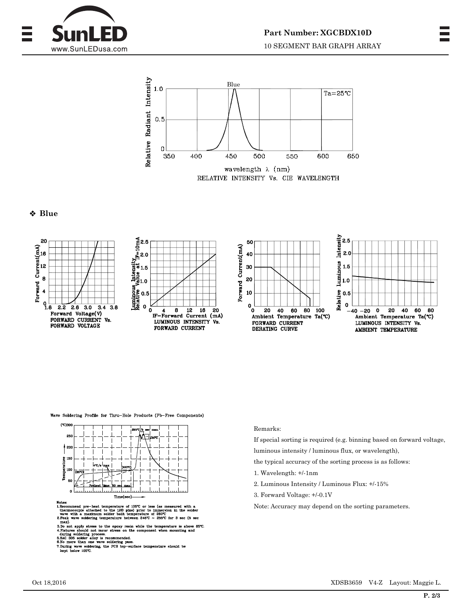



### **Blue**



Wave Soldering Profile for Thru-Hole Products (Pb-Free Components)



of 105°C

pro

ng p

the PCB dering, toı

#### Remarks:

If special sorting is required (e.g. binning based on forward voltage,

luminous intensity / luminous flux, or wavelength),

the typical accuracy of the sorting process is as follows:

- 1. Wavelength: +/-1nm
- 2. Luminous Intensity / Luminous Flux: +/-15%
- 3. Forward Voltage: +/-0.1V

Note: Accuracy may depend on the sorting parameters.